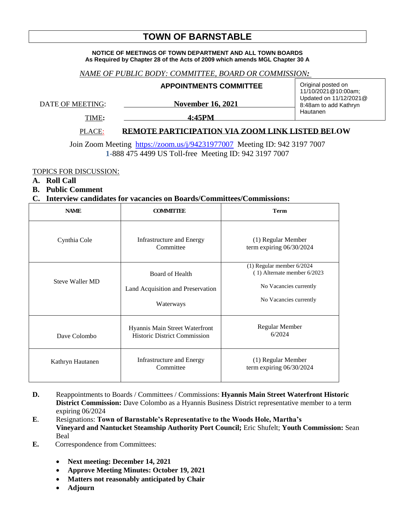# **TOWN OF BARNSTABLE**

#### **NOTICE OF MEETINGS OF TOWN DEPARTMENT AND ALL TOWN BOARDS As Required by Chapter 28 of the Acts of 2009 which amends MGL Chapter 30 A**

### *NAME OF PUBLIC BODY: COMMITTEE, BOARD OR COMMISSION:*

#### **APPOINTMENTS COMMITTEE**

DATE OF MEETING: November 16, 2021

Original posted on 11/10/2021@10:00am; Updated on 11/12/2021@ 8:48am to add Kathryn Hautanen

TIME**: 4:45PM** 

## PLACE: **REMOTE PARTICIPATION VIA ZOOM LINK LISTED BELOW**

Join Zoom Meeting <https://zoom.us/j/94231977007>Meeting ID: 942 3197 7007 **1-**888 475 4499 US Toll-free Meeting ID: 942 3197 7007

TOPICS FOR DISCUSSION:

- **A. Roll Call**
- **B. Public Comment**

#### **C. Interview candidates for vacancies on Boards/Committees/Commissions:**

| <b>NAME</b>            | <b>COMMITTEE</b>                                                      | <b>Term</b>                                                                                                    |
|------------------------|-----------------------------------------------------------------------|----------------------------------------------------------------------------------------------------------------|
| Cynthia Cole           | Infrastructure and Energy<br>Committee                                | (1) Regular Member<br>term expiring 06/30/2024                                                                 |
| <b>Steve Waller MD</b> | Board of Health<br>Land Acquisition and Preservation<br>Waterways     | $(1)$ Regular member 6/2024<br>(1) Alternate member 6/2023<br>No Vacancies currently<br>No Vacancies currently |
| Dave Colombo           | Hyannis Main Street Waterfront<br><b>Historic District Commission</b> | Regular Member<br>6/2024                                                                                       |
| Kathryn Hautanen       | <b>Infrastructure and Energy</b><br>Committee                         | (1) Regular Member<br>term expiring 06/30/2024                                                                 |

- **D.** Reappointments to Boards / Committees / Commissions: **Hyannis Main Street Waterfront Historic District Commission:** Dave Colombo as a Hyannis Business District representative member to a term expiring 06/2024
- **E**. Resignations: **Town of Barnstable's Representative to the Woods Hole, Martha's Vineyard and Nantucket Steamship Authority Port Council;** Eric Shufelt; **Youth Commission:** Sean Beal
- **E.** Correspondence from Committees:
	- **Next meeting: December 14, 2021**
	- **Approve Meeting Minutes: October 19, 2021**
	- **Matters not reasonably anticipated by Chair**
	- **Adjourn**